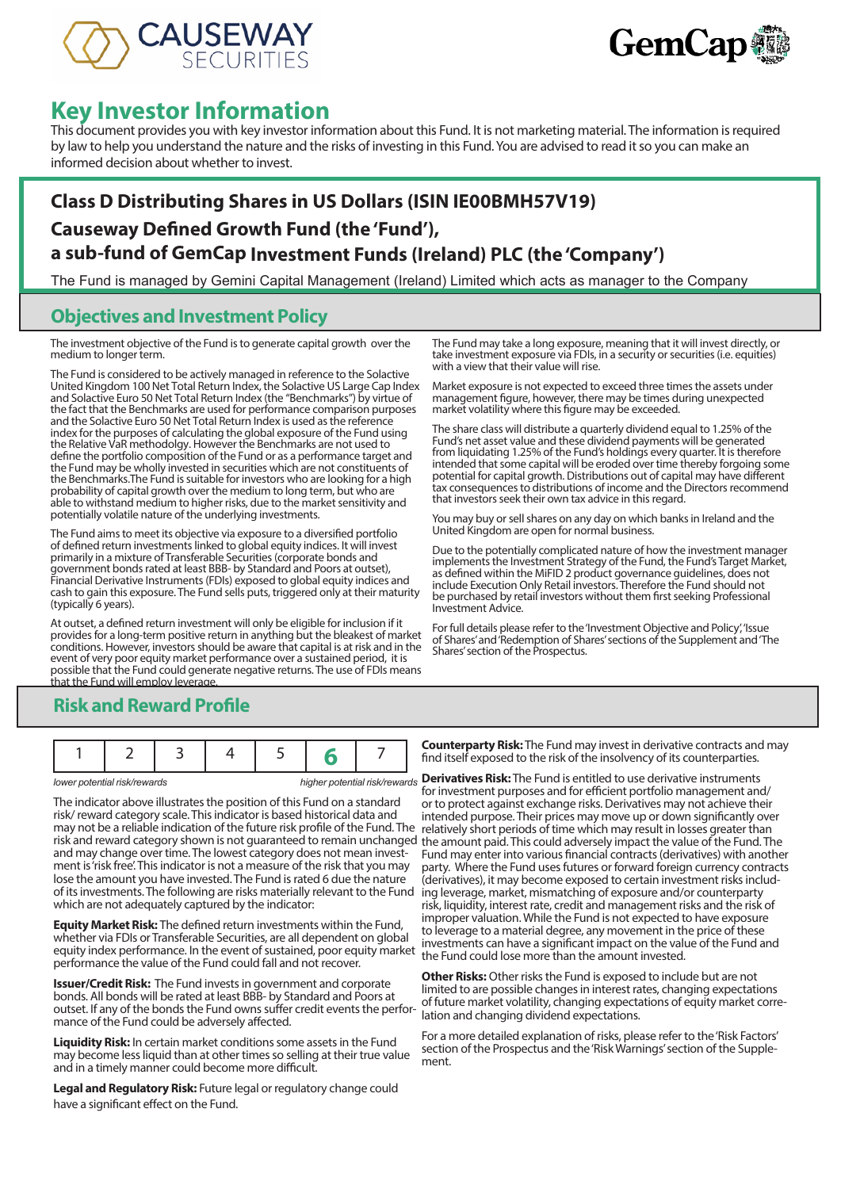



# **Key Investor Information**

This document provides you with key investor information about this Fund. It is not marketing material. The information is required by law to help you understand the nature and the risks of investing in this Fund. You are advised to read it so you can make an informed decision about whether to invest.

## **Class D Distributing Shares in US Dollars (ISIN IE00BMH57V19) Causeway Defined Growth Fund (the 'Fund'), a sub-fund of GemCap Investment Funds (Ireland) PLC (the 'Company')**

The Fund is managed by Gemini Capital Management (Ireland) Limited which acts as manager to the Company

#### **Objectives and Investment Policy**

The investment objective of the Fund is to generate capital growth over the medium to longer term.

The Fund is considered to be actively managed in reference to the Solactive United Kingdom 100 Net Total Return Index, the Solactive US Large Cap Index and Solactive Euro 50 Net Total Return Index (the "Benchmarks") by virtue of the fact that the Benchmarks are used for performance comparison purposes and the Solactive Euro 50 Net Total Return Index is used as the reference index for the purposes of calculating the global exposure of the Fund using the Relative VaR methodolgy. However the Benchmarks are not used to define the portfolio composition of the Fund or as a performance target and the Fund may be wholly invested in securities which are not constituents of the Benchmarks.The Fund is suitable for investors who are looking for a high probability of capital growth over the medium to long term, but who are able to withstand medium to higher risks, due to the market sensitivity and potentially volatile nature of the underlying investments.

The Fund aims to meet its objective via exposure to a diversified portfolio of defined return investments linked to global equity indices. It will invest primarily in a mixture of Transferable Securities (corporate bonds and government bonds rated at least BBB- by Standard and Poors at outset), Financial Derivative Instruments (FDIs) exposed to global equity indices and cash to gain this exposure. The Fund sells puts, triggered only at their maturity (typically 6 years).

At outset, a defined return investment will only be eligible for inclusion if it provides for a long-term positive return in anything but the bleakest of market conditions. However, investors should be aware that capital is at risk and in the event of very poor equity market performance over a sustained period, it is possible that the Fund could generate negative returns. The use of FDIs means that the Fund will employ leverage.

#### The Fund may take a long exposure, meaning that it will invest directly, or take investment exposure via FDIs, in a security or securities (i.e. equities) with a view that their value will rise.

Market exposure is not expected to exceed three times the assets under management figure, however, there may be times during unexpected market volatility where this figure may be exceeded.

The share class will distribute a quarterly dividend equal to 1.25% of the Fund's net asset value and these dividend payments will be generated from liquidating 1.25% of the Fund's holdings every quarter. It is therefore intended that some capital will be eroded over time thereby forgoing some potential for capital growth. Distributions out of capital may have different tax consequences to distributions of income and the Directors recommend that investors seek their own tax advice in this regard.

You may buy or sell shares on any day on which banks in Ireland and the United Kingdom are open for normal business.

Due to the potentially complicated nature of how the investment manager implements the Investment Strategy of the Fund, the Fund's Target Market, as defined within the MiFID 2 product governance guidelines, does not include Execution Only Retail investors. Therefore the Fund should not be purchased by retail investors without them first seeking Professional Investment Advice.

For full details please refer to the 'Investment Objective and Policy', 'Issue of Shares' and 'Redemption of Shares' sections of the Supplement and 'The Shares' section of the Prospectus.

## **Risk and Reward Profile**

|--|--|--|--|--|--|--|--|

The indicator above illustrates the position of this Fund on a standard risk/ reward category scale. This indicator is based historical data and may not be a reliable indication of the future risk profile of the Fund. The relatively short periods of time which may result in losses greater than risk and reward category shown is not guaranteed to remain unchanged the amount paid. This could adversely impact the value of the Fund. The and may change over time. The lowest category does not mean investment is 'risk free'. This indicator is not a measure of the risk that you may lose the amount you have invested. The Fund is rated 6 due the nature of its investments. The following are risks materially relevant to the Fund which are not adequately captured by the indicator:

**Equity Market Risk:** The defined return investments within the Fund, whether via FDIs or Transferable Securities, are all dependent on global equity index performance. In the event of sustained, poor equity market performance the value of the Fund could fall and not recover.

**Issuer/Credit Risk:** The Fund invests in government and corporate bonds. All bonds will be rated at least BBB- by Standard and Poors at outset. If any of the bonds the Fund owns suffer credit events the performance of the Fund could be adversely affected.

**Liquidity Risk:** In certain market conditions some assets in the Fund may become less liquid than at other times so selling at their true value and in a timely manner could become more difficult.

**Legal and Regulatory Risk:** Future legal or regulatory change could have a significant effect on the Fund.

**Counterparty Risk:** The Fund may invest in derivative contracts and may find itself exposed to the risk of the insolvency of its counterparties.

*lower potential risk/rewards higher potential risk/rewards* **Derivatives Risk:** The Fund is entitled to use derivative instruments for investment purposes and for efficient portfolio management and/ or to protect against exchange risks. Derivatives may not achieve their intended purpose. Their prices may move up or down significantly over Fund may enter into various financial contracts (derivatives) with another party. Where the Fund uses futures or forward foreign currency contracts (derivatives), it may become exposed to certain investment risks including leverage, market, mismatching of exposure and/or counterparty risk, liquidity, interest rate, credit and management risks and the risk of improper valuation. While the Fund is not expected to have exposure to leverage to a material degree, any movement in the price of these investments can have a significant impact on the value of the Fund and the Fund could lose more than the amount invested.

> **Other Risks:** Other risks the Fund is exposed to include but are not limited to are possible changes in interest rates, changing expectations of future market volatility, changing expectations of equity market correlation and changing dividend expectations.

For a more detailed explanation of risks, please refer to the 'Risk Factors' section of the Prospectus and the 'Risk Warnings' section of the Supplement.